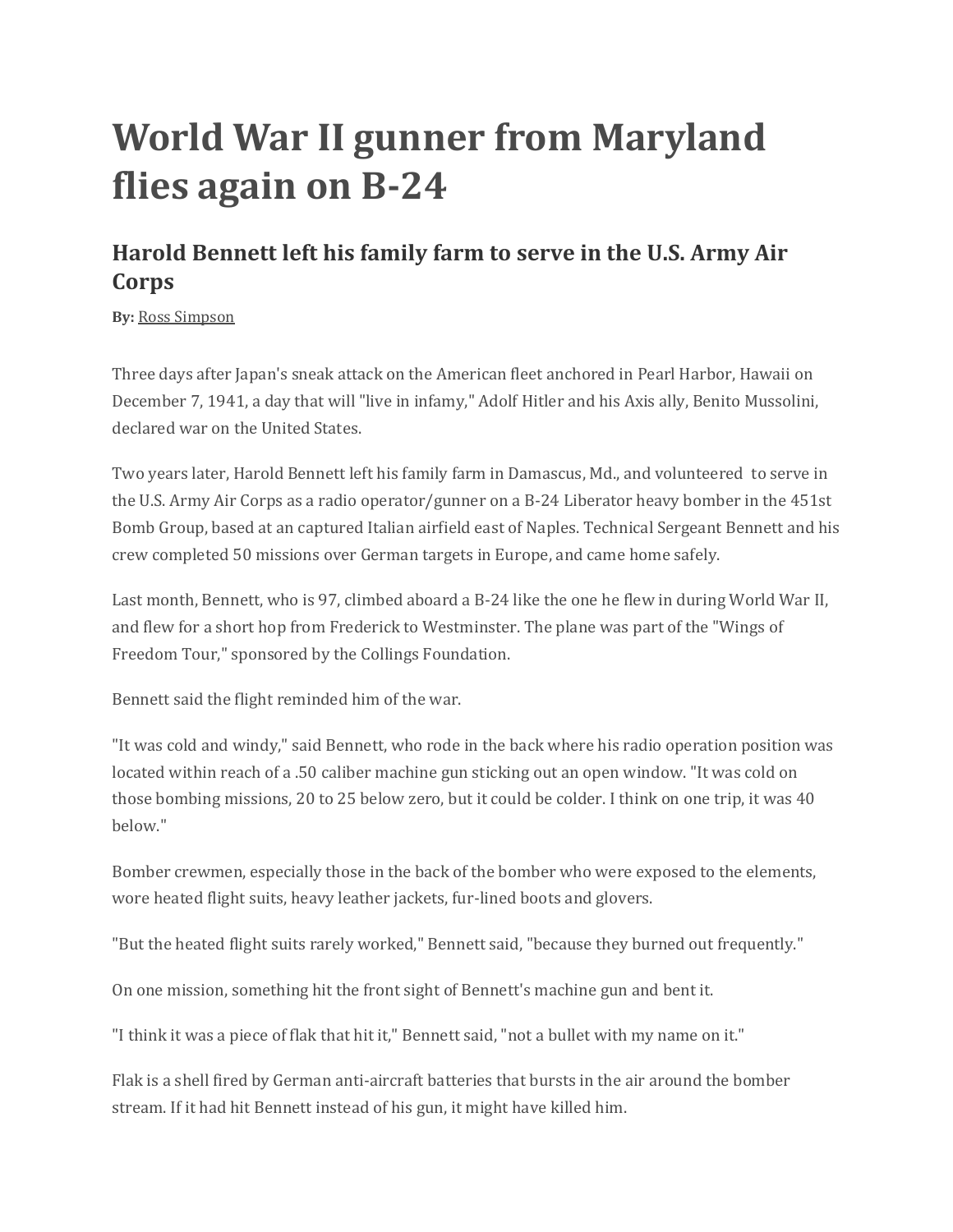## **World War II gunner from Maryland flies again on B-24**

## **Harold Bennett left his family farm to serve in the U.S. Army Air Corps**

**By:** [Ross Simpson](https://www.localdvm.com/meet-the-team/ross-simpson/858542324)

Three days after Japan's sneak attack on the American fleet anchored in Pearl Harbor, Hawaii on December 7, 1941, a day that will "live in infamy," Adolf Hitler and his Axis ally, Benito Mussolini, declared war on the United States.

Two years later, Harold Bennett left his family farm in Damascus, Md., and volunteered to serve in the U.S. Army Air Corps as a radio operator/gunner on a B-24 Liberator heavy bomber in the 451st Bomb Group, based at an captured Italian airfield east of Naples. Technical Sergeant Bennett and his crew completed 50 missions over German targets in Europe, and came home safely.

Last month, Bennett, who is 97, climbed aboard a B-24 like the one he flew in during World War II, and flew for a short hop from Frederick to Westminster. The plane was part of the "Wings of Freedom Tour," sponsored by the Collings Foundation.

Bennett said the flight reminded him of the war.

"It was cold and windy," said Bennett, who rode in the back where his radio operation position was located within reach of a .50 caliber machine gun sticking out an open window. "It was cold on those bombing missions, 20 to 25 below zero, but it could be colder. I think on one trip, it was 40 below."

Bomber crewmen, especially those in the back of the bomber who were exposed to the elements, wore heated flight suits, heavy leather jackets, fur-lined boots and glovers.

"But the heated flight suits rarely worked," Bennett said, "because they burned out frequently."

On one mission, something hit the front sight of Bennett's machine gun and bent it.

"I think it was a piece of flak that hit it," Bennett said, "not a bullet with my name on it."

Flak is a shell fired by German anti-aircraft batteries that bursts in the air around the bomber stream. If it had hit Bennett instead of his gun, it might have killed him.